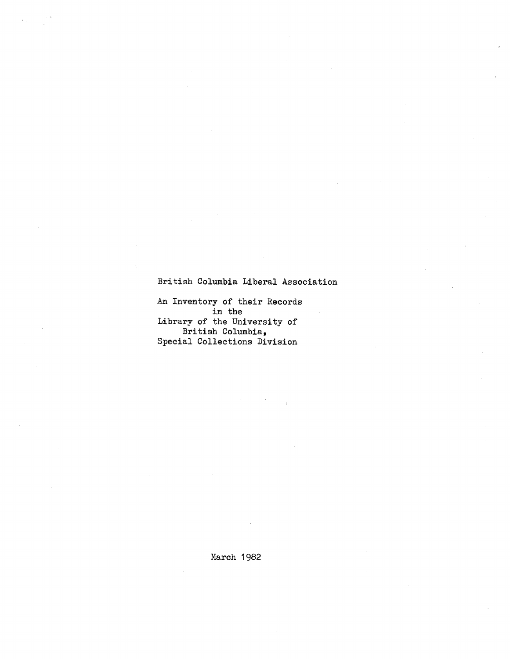# British Columbia Liberal **Association**

An Inventory of their Records in the Library of the University of British Columbia, Special Collections **Division**

March 1982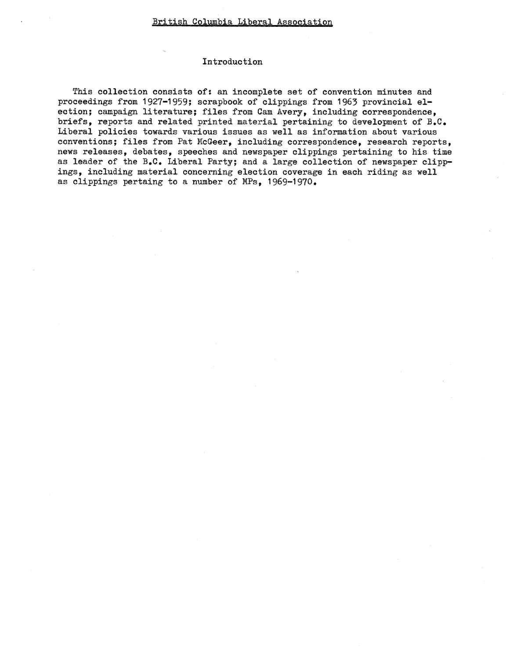### Introduction

This collection consists of: an incomplete set of convention minutes and proceedings from 1927-1959; scrapbook of clippings from 1963 provincial election; campaign literature; files from Cam Avery, including correspondence, briefs, reports and related printed material pertaining to development of B.C. Liberal policies towards various issues as well as information about various conventions; files from Pat McGeer, including correspondence, research reports, news releases, debates, speeches and newspaper clippings pertaining to his time as leader of the B.C. Liberal Party; and a large collection of newspaper clippings, including material concerning election coverage in each riding as well as clippings pertaing to a number of MPs, 1969-1970 .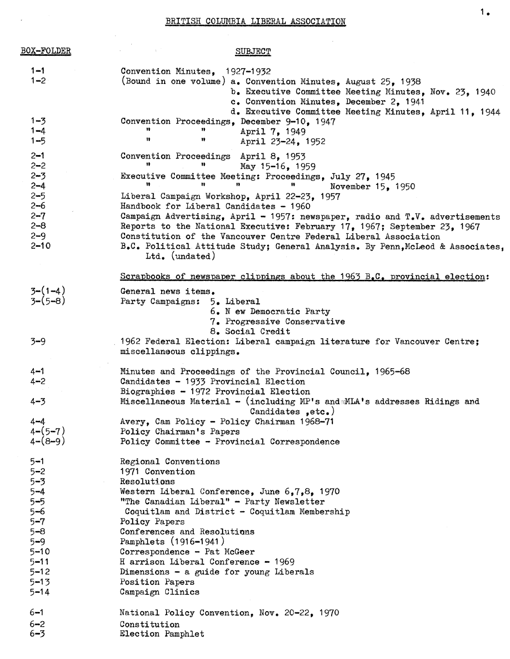# BRITISH COLUMBIA LIBERAL ASSOCIATION

 $\bar{z}$ 

| <b>BOX-FOLDER</b>                                               | <b>SUBJECT</b>                                                                                                                                                                                                                                                                                                                                                                                                               |
|-----------------------------------------------------------------|------------------------------------------------------------------------------------------------------------------------------------------------------------------------------------------------------------------------------------------------------------------------------------------------------------------------------------------------------------------------------------------------------------------------------|
| $1 - 1$<br>$1 - 2$                                              | Convention Minutes, 1927-1932<br>(Bound in one volume) a. Convention Minutes, August 25, 1938<br>b. Executive Committee Meeting Minutes, Nov. 23, 1940<br>c. Convention Minutes, December 2, 1941<br>d. Executive Committee Meeting Minutes, April 11, 1944                                                                                                                                                                  |
| $1 - 3$<br>$1 - 4$<br>$1 - 5$                                   | Convention Proceedings, December 9-10, 1947<br>n<br>n<br>April 7, 1949<br>Ħ<br>Ħ<br>April 23-24, 1952                                                                                                                                                                                                                                                                                                                        |
| $2 - 1$                                                         | Convention Proceedings April 8, 1953<br>u<br>Ħ                                                                                                                                                                                                                                                                                                                                                                               |
| $2 - 2$<br>$2 - 3$<br>$2 - 4$                                   | May 15-16, 1959<br>Executive Committee Meeting: Proceedings, July 27, 1945<br>n<br>u<br>89<br>Ħ<br>November 15, 1950                                                                                                                                                                                                                                                                                                         |
| $2 - 5$<br>$2 - 6$<br>$2 - 7$<br>$2 - 8$<br>$2 - 9$<br>$2 - 10$ | Liberal Campaign Workshop, April 22-23, 1957<br>Handbook for Liberal Candidates - 1960<br>Campaign Advertising, April - 1957: newspaper, radio and $T.V.$ advertisements<br>Reports to the National Executive: February 17, 1967; September 23, 1967<br>Constitution of the Vancouver Centre Federal Liberal Association<br>B.C. Political Attitude Study; General Analysis. By Penn, McLeod & Associates,<br>Ltd. (undated) |
|                                                                 | Scrapbooks of newspaper clippings about the $1963$ $B_6C_6$ provincial election:                                                                                                                                                                                                                                                                                                                                             |
| $3-(1-4)$<br>$3-(5-8)$                                          | General news items.<br>Party Campaigns: 5. Liberal<br>6. N ew Democratic Party<br>7. Progressive Conservative                                                                                                                                                                                                                                                                                                                |
| $3 - 9$                                                         | 8. Social Credit<br>1962 Federal Election: Liberal campaign literature for Vancouver Centre;<br>miscellaneous clippings.                                                                                                                                                                                                                                                                                                     |
| $4 - 1$<br>$4 - 2$<br>$4 - 3$                                   | Minutes and Proceedings of the Provincial Council, 1965-68<br>Candidates - 1933 Provincial Election<br>Biographies - 1972 Provincial Election<br>Miscellaneous Material - (including MP's and MLA's addresses Ridings and                                                                                                                                                                                                    |
| $4-4$<br>$4 - (5 - 7)$<br>$4 - (8 - 9)$                         | Candidates $, etc. )$<br>Avery, Cam Policy - Policy Chairman 1968-71<br>Policy Chairman's Papers<br>Policy Committee - Provincial Correspondence                                                                                                                                                                                                                                                                             |
| $5 - 1$<br>$5 - 2$                                              | Regional Conventions<br>1971 Convention                                                                                                                                                                                                                                                                                                                                                                                      |
| $5 - 3$                                                         | Resolutions                                                                                                                                                                                                                                                                                                                                                                                                                  |
| $5 - 4$                                                         | Western Liberal Conference, June 6,7,8, 1970                                                                                                                                                                                                                                                                                                                                                                                 |
| $5 - 5$                                                         | "The Canadian Liberal" - Party Newsletter                                                                                                                                                                                                                                                                                                                                                                                    |
| $5 - 6$<br>$5 - 7$                                              | Coquitlam and District - Coquitlam Membership<br>Policy Papers                                                                                                                                                                                                                                                                                                                                                               |
| $5 - 8$                                                         | Conferences and Resolutions                                                                                                                                                                                                                                                                                                                                                                                                  |
| $5 - 9$                                                         | Pamphlets (1916-1941)                                                                                                                                                                                                                                                                                                                                                                                                        |
| $5 - 10$                                                        | Correspondence - Pat McGeer                                                                                                                                                                                                                                                                                                                                                                                                  |
| $5 - 11$                                                        | H arrison Liberal Conference - 1969                                                                                                                                                                                                                                                                                                                                                                                          |
| $5 - 12$                                                        | Dimensions $-$ a guide for young Liberals                                                                                                                                                                                                                                                                                                                                                                                    |
| $5 - 13$<br>$5 - 14$                                            | Position Papers<br>Campaign Clinics                                                                                                                                                                                                                                                                                                                                                                                          |
| $6 - 1$                                                         | National Policy Convention, Nov. 20-22, 1970                                                                                                                                                                                                                                                                                                                                                                                 |
| $6 - 2$                                                         | Constitution                                                                                                                                                                                                                                                                                                                                                                                                                 |
| $6 - 3$                                                         | Election Pamphlet                                                                                                                                                                                                                                                                                                                                                                                                            |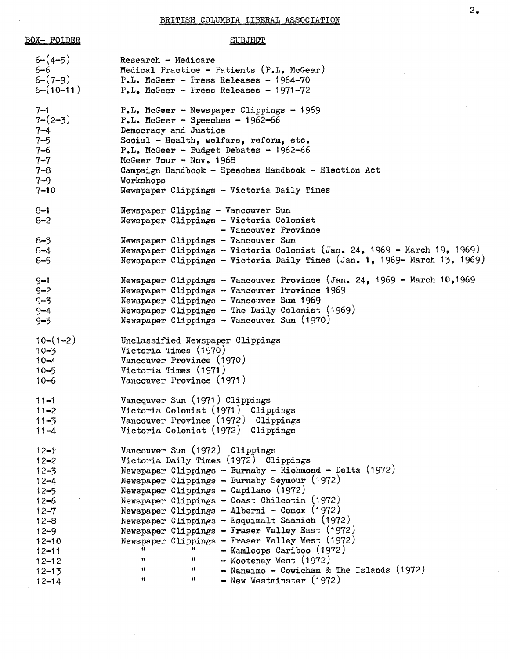#### BRITISH COLUMBIA LIBERAL ASSOCIATION

```
BOX- FOLDER SUBJECT
  6-(4-5) Research - Medicare<br>6-6 Medical Practice -
  6-6 Medical Practice - Patients (P.L. McGeer)<br>6-(7-9) P.L. McGeer - Press Releases - 1964-70
  6-(7-9) P.L. McGeer - Press Releases - 1964-70<br>6-(10-11) P.L. McGeer - Press Releases - 1971-72
                   P.L. McGeer - Press Releases - 1971-72
  7-1 P.L. McGeer - Newspaper Clippings - 1969<br>7-2-3 P.L. McGeer - Speeches - 1962-66
                   P<sub>•</sub>L<sub>•</sub> McGeer - Speeches - 1962-66
  7-4 Democracy and Justice
  7-5 Social - Health, welfare, reform, etc.
  7-6 P.L. McGeer - Budget Debates - 1962-66<br>7-7 McGeer Tour - Nov. 1968
  7-7 McGeer Tour - Nov. 1968
                   Campaign Handbook - Speeches Handbook - Election Act
  7-9 Workshops
  7-10 Newspaper Clippings - Victoria Daily Times
  8-1 Newspaper Clipping - Vancouver Sun
  8-2 Newspaper Clippings - Victoria Colonist
                                       - Vancouver Province
  8-3 Newspaper Clippings - Vancouver Sun
  8-4 Newspaper Clippings - Victoria Colonist (Jan. 24, 1969 - March 19, 1969)
  8-5 Newspaper Clippings - Victoria Daily Times (Jan. 1, 1969- March 13, 1969)
  9-1 Newspaper Clippings - Vancouver Province (Jan . 24, 1969 - March 10,1969
  9<del>-2</del><br>9-3
                   Newspaper Clippings - Vancouver Province 1969
                   Newspaper Clippings - Vancouver Sun 1969
  9-4 Newspaper Clippings - The Daily Colonist (1969 )
  9-5 Newspaper Clippings - Vancouver Sun (1970 )
  10-(1-2) Unclassified Newspaper Clippings
  10-3 Victoria Times (1970 )
  10-4 Vancouver Province (1970 )
  10-5 Victoria Times {1971 )
  10-6 Vancouver Province (1971 )
  11-1 Vancouver Sun (1971) Clippings
  11-2 Victoria Colonist (1971) Clippings
  11-3 Vancouver Province (1972) Clippings
  11-4 Victoria Colonist (1972) Clippings
  12-1 Vancouver Sun (1972) Clippings
  12 - 2Victoria Daily Times (1972) Clippings
  12-3 Newspaper Clippings - Burnaby - Richmond - Delta (1972 )
  12-4 Newspaper Clippings - Burnaby Seymour (1972)<br>12-5 Newspaper Clippings - Capilano (1972)
  12-5 Newspaper Clippings - Capilano (1972)<br>12-6 Newspaper Clippings - Coast Chilcotin
  12-6 Newspaper Clippings - Coast Chilcotin (1972)<br>12-7 Newspaper Clippings - Alberni - Comox (1972)
                   Newspaper Clippings - Alberni - Comox (1972)12-8 Newspaper Clippings - Esquimalt Saanich (1972 )
  12-9 Newspaper Clippings - Fraser Valley East (1972)<br>12-10 Newspaper Clippings - Fraser Valley West (1972)
  12-10 Newspaper Clippings - Fraser Valley West (1972)<br>12-11 12-11 12-11 12-11
                       \frac{1}{1!} = Kamloops Cariboo (1972)<br>
\frac{1}{1!} = Kootensy West (1972)
  12-12 "
                                 it
                                       - Kootenay West {1972 )
  12-13 " \blacksquare Nanaimo - Cowichan & The Islands (1972)
  12-14 " \blacksquare New Westminster (1972)
```
2,